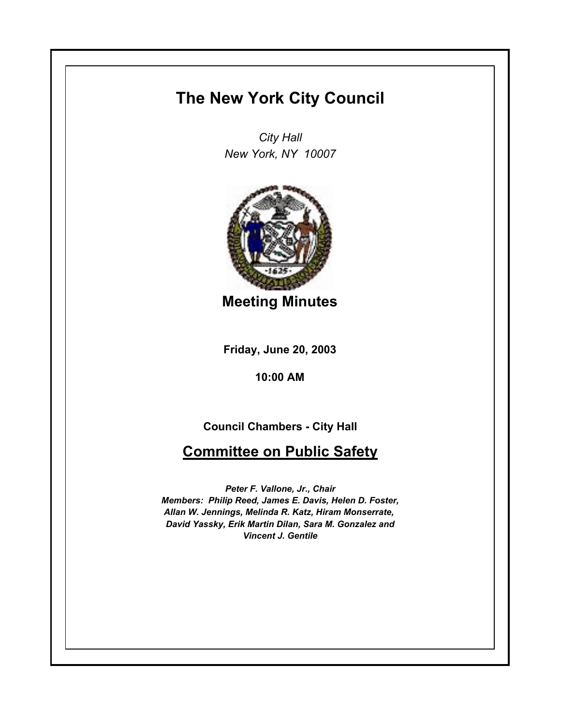## **The New York City Council**

*City Hall New York, NY 10007*



**Meeting Minutes**

**Friday, June 20, 2003**

**10:00 AM**

**Council Chambers - City Hall**

## **Committee on Public Safety**

*Peter F. Vallone, Jr., Chair Members: Philip Reed, James E. Davis, Helen D. Foster, Allan W. Jennings, Melinda R. Katz, Hiram Monserrate, David Yassky, Erik Martin Dilan, Sara M. Gonzalez and Vincent J. Gentile*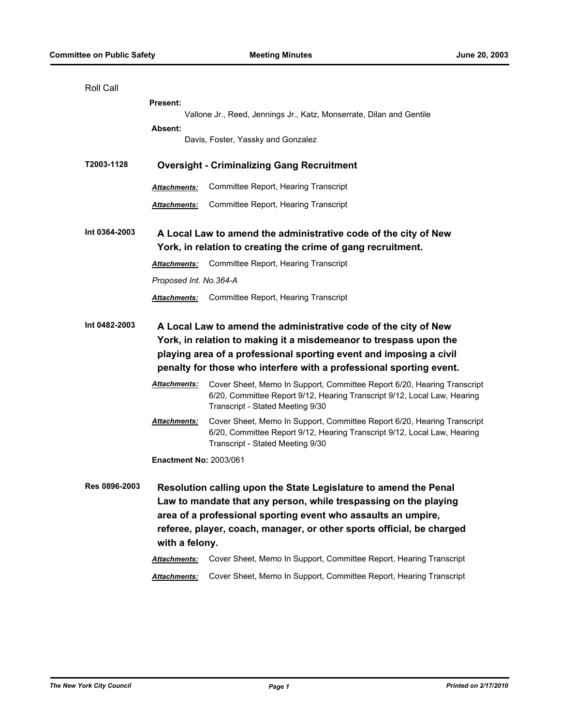| Roll Call                       |                                                                                                                                                                                                                                                                                   |                                                                                                                                                                                                                                                                                |  |
|---------------------------------|-----------------------------------------------------------------------------------------------------------------------------------------------------------------------------------------------------------------------------------------------------------------------------------|--------------------------------------------------------------------------------------------------------------------------------------------------------------------------------------------------------------------------------------------------------------------------------|--|
| <b>Present:</b>                 |                                                                                                                                                                                                                                                                                   |                                                                                                                                                                                                                                                                                |  |
|                                 | Vallone Jr., Reed, Jennings Jr., Katz, Monserrate, Dilan and Gentile                                                                                                                                                                                                              |                                                                                                                                                                                                                                                                                |  |
|                                 | Absent:                                                                                                                                                                                                                                                                           | Davis, Foster, Yassky and Gonzalez                                                                                                                                                                                                                                             |  |
|                                 |                                                                                                                                                                                                                                                                                   |                                                                                                                                                                                                                                                                                |  |
| T2003-1128                      |                                                                                                                                                                                                                                                                                   | <b>Oversight - Criminalizing Gang Recruitment</b>                                                                                                                                                                                                                              |  |
|                                 | <b>Attachments:</b>                                                                                                                                                                                                                                                               | Committee Report, Hearing Transcript                                                                                                                                                                                                                                           |  |
|                                 | Attachments:                                                                                                                                                                                                                                                                      | Committee Report, Hearing Transcript                                                                                                                                                                                                                                           |  |
| Int 0364-2003                   | A Local Law to amend the administrative code of the city of New<br>York, in relation to creating the crime of gang recruitment.                                                                                                                                                   |                                                                                                                                                                                                                                                                                |  |
|                                 | Attachments:                                                                                                                                                                                                                                                                      | Committee Report, Hearing Transcript                                                                                                                                                                                                                                           |  |
|                                 | Proposed Int. No.364-A                                                                                                                                                                                                                                                            |                                                                                                                                                                                                                                                                                |  |
|                                 | <b>Attachments:</b>                                                                                                                                                                                                                                                               | Committee Report, Hearing Transcript                                                                                                                                                                                                                                           |  |
| Int 0482-2003                   | A Local Law to amend the administrative code of the city of New<br>York, in relation to making it a misdemeanor to trespass upon the<br>playing area of a professional sporting event and imposing a civil<br>penalty for those who interfere with a professional sporting event. |                                                                                                                                                                                                                                                                                |  |
|                                 | Attachments:                                                                                                                                                                                                                                                                      | Cover Sheet, Memo In Support, Committee Report 6/20, Hearing Transcript<br>6/20, Committee Report 9/12, Hearing Transcript 9/12, Local Law, Hearing<br>Transcript - Stated Meeting 9/30                                                                                        |  |
|                                 | <u> Attachments:</u>                                                                                                                                                                                                                                                              | Cover Sheet, Memo In Support, Committee Report 6/20, Hearing Transcript<br>6/20, Committee Report 9/12, Hearing Transcript 9/12, Local Law, Hearing<br>Transcript - Stated Meeting 9/30                                                                                        |  |
|                                 | <b>Enactment No: 2003/061</b>                                                                                                                                                                                                                                                     |                                                                                                                                                                                                                                                                                |  |
| Res 0896-2003<br>with a felony. |                                                                                                                                                                                                                                                                                   | Resolution calling upon the State Legislature to amend the Penal<br>Law to mandate that any person, while trespassing on the playing<br>area of a professional sporting event who assaults an umpire,<br>referee, player, coach, manager, or other sports official, be charged |  |
|                                 | Attachments:                                                                                                                                                                                                                                                                      | Cover Sheet, Memo In Support, Committee Report, Hearing Transcript                                                                                                                                                                                                             |  |
|                                 | Attachments:                                                                                                                                                                                                                                                                      | Cover Sheet, Memo In Support, Committee Report, Hearing Transcript                                                                                                                                                                                                             |  |